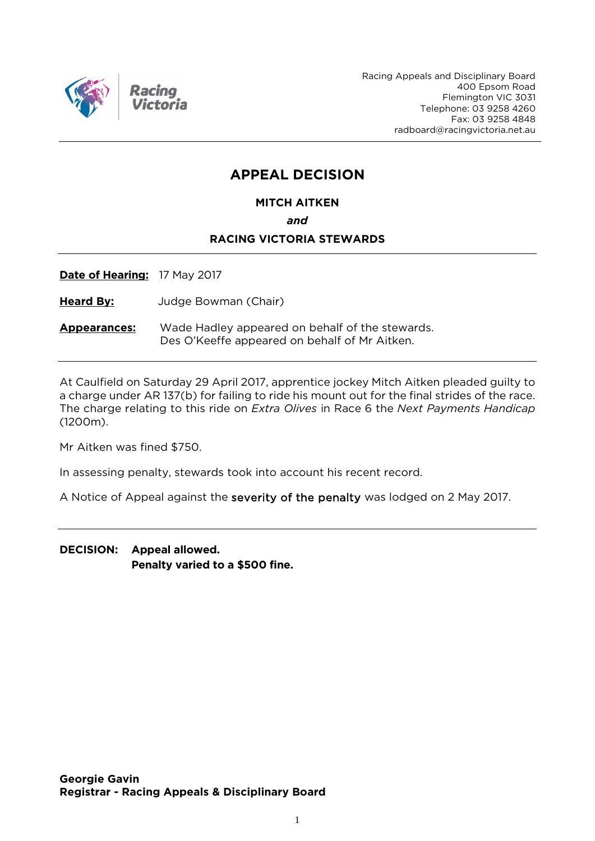

Racing Appeals and Disciplinary Board 400 Epsom Road Flemington VIC 3031 Telephone: 03 9258 4260 Fax: 03 9258 4848 radboard@racingvictoria.net.au

## **APPEAL DECISION**

**MITCH AITKEN**

*and*

#### **RACING VICTORIA STEWARDS**

**Date of Hearing:** 17 May 2017

**Heard By:** Judge Bowman (Chair)

**Appearances:** Wade Hadley appeared on behalf of the stewards. Des O'Keeffe appeared on behalf of Mr Aitken.

At Caulfield on Saturday 29 April 2017, apprentice jockey Mitch Aitken pleaded guilty to a charge under AR 137(b) for failing to ride his mount out for the final strides of the race. The charge relating to this ride on *Extra Olives* in Race 6 the *Next Payments Handicap*  (1200m).

Mr Aitken was fined \$750.

In assessing penalty, stewards took into account his recent record.

A Notice of Appeal against the severity of the penalty was lodged on 2 May 2017.

**DECISION: Appeal allowed. Penalty varied to a \$500 fine.**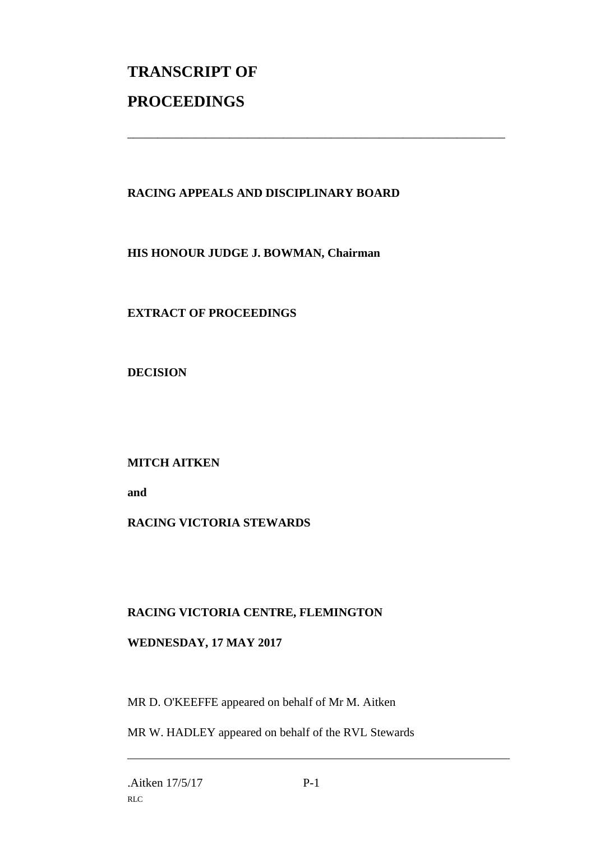# **TRANSCRIPT OF PROCEEDINGS**

#### **RACING APPEALS AND DISCIPLINARY BOARD**

\_\_\_\_\_\_\_\_\_\_\_\_\_\_\_\_\_\_\_\_\_\_\_\_\_\_\_\_\_\_\_\_\_\_\_\_\_\_\_\_\_\_\_\_\_\_\_\_\_\_\_\_\_\_\_\_\_\_\_\_\_\_\_

**HIS HONOUR JUDGE J. BOWMAN, Chairman**

**EXTRACT OF PROCEEDINGS**

**DECISION**

**MITCH AITKEN** 

**and** 

### **RACING VICTORIA STEWARDS**

#### **RACING VICTORIA CENTRE, FLEMINGTON**

#### **WEDNESDAY, 17 MAY 2017**

MR D. O'KEEFFE appeared on behalf of Mr M. Aitken

MR W. HADLEY appeared on behalf of the RVL Stewards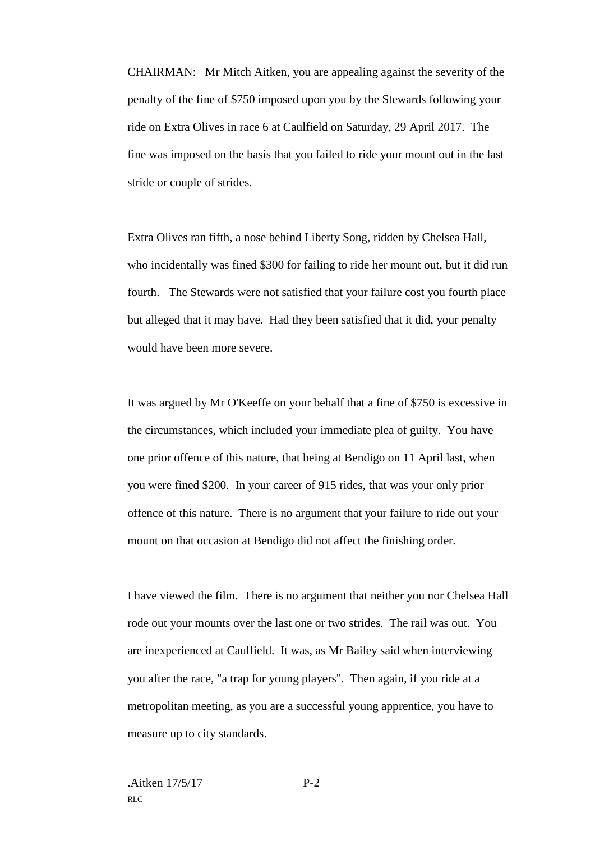CHAIRMAN: Mr Mitch Aitken, you are appealing against the severity of the penalty of the fine of \$750 imposed upon you by the Stewards following your ride on Extra Olives in race 6 at Caulfield on Saturday, 29 April 2017. The fine was imposed on the basis that you failed to ride your mount out in the last stride or couple of strides.

Extra Olives ran fifth, a nose behind Liberty Song, ridden by Chelsea Hall, who incidentally was fined \$300 for failing to ride her mount out, but it did run fourth. The Stewards were not satisfied that your failure cost you fourth place but alleged that it may have. Had they been satisfied that it did, your penalty would have been more severe.

It was argued by Mr O'Keeffe on your behalf that a fine of \$750 is excessive in the circumstances, which included your immediate plea of guilty. You have one prior offence of this nature, that being at Bendigo on 11 April last, when you were fined \$200. In your career of 915 rides, that was your only prior offence of this nature. There is no argument that your failure to ride out your mount on that occasion at Bendigo did not affect the finishing order.

I have viewed the film. There is no argument that neither you nor Chelsea Hall rode out your mounts over the last one or two strides. The rail was out. You are inexperienced at Caulfield. It was, as Mr Bailey said when interviewing you after the race, "a trap for young players". Then again, if you ride at a metropolitan meeting, as you are a successful young apprentice, you have to measure up to city standards.